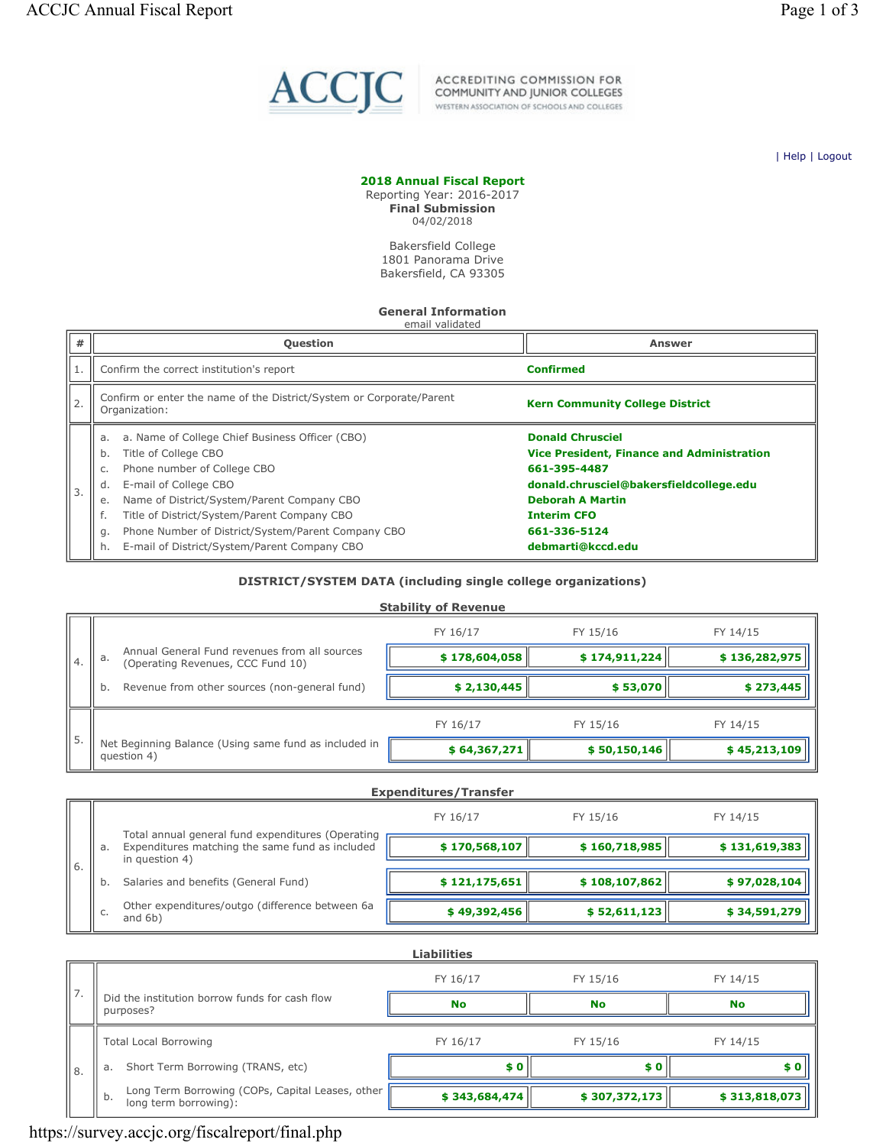

ACCREDITING COMMISSION FOR<br>COMMUNITY AND JUNIOR COLLEGES WESTERN ASSOCIATION OF SCHOOLS AND COLLEGES

| Help | Logout

#### 2018 Annual Fiscal Report

Reporting Year: 2016-2017 Final Submission 04/02/2018

> Bakersfield College 1801 Panorama Drive Bakersfield, CA 93305

### General Information

| #  | <b>Question</b>                                                                                                                                                                                                                                                                                                                                                        | Answer                                                                                                                                                                                                                        |
|----|------------------------------------------------------------------------------------------------------------------------------------------------------------------------------------------------------------------------------------------------------------------------------------------------------------------------------------------------------------------------|-------------------------------------------------------------------------------------------------------------------------------------------------------------------------------------------------------------------------------|
|    | Confirm the correct institution's report                                                                                                                                                                                                                                                                                                                               | <b>Confirmed</b>                                                                                                                                                                                                              |
| 2. | Confirm or enter the name of the District/System or Corporate/Parent<br>Organization:                                                                                                                                                                                                                                                                                  | <b>Kern Community College District</b>                                                                                                                                                                                        |
| 3. | a. Name of College Chief Business Officer (CBO)<br>a.<br>Title of College CBO<br>b.<br>Phone number of College CBO<br>C.<br>E-mail of College CBO<br>d.<br>Name of District/System/Parent Company CBO<br>е.<br>Title of District/System/Parent Company CBO<br>Phone Number of District/System/Parent Company CBO<br>g.<br>E-mail of District/System/Parent Company CBO | <b>Donald Chrusciel</b><br><b>Vice President, Finance and Administration</b><br>661-395-4487<br>donald.chrusciel@bakersfieldcollege.edu<br><b>Deborah A Martin</b><br><b>Interim CFO</b><br>661-336-5124<br>debmarti@kccd.edu |

#### DISTRICT/SYSTEM DATA (including single college organizations)

|    |                                                                                          | <b>Stability of Revenue</b> |               |               |
|----|------------------------------------------------------------------------------------------|-----------------------------|---------------|---------------|
|    |                                                                                          | FY 16/17                    | FY 15/16      | FY 14/15      |
| 4. | Annual General Fund revenues from all sources<br>a.<br>(Operating Revenues, CCC Fund 10) | \$178,604,058               | \$174,911,224 | \$136,282,975 |
|    | Revenue from other sources (non-general fund)<br>b.                                      | \$2,130,445                 | \$53,070      | \$273,445     |
| 5. |                                                                                          | FY 16/17                    | FY 15/16      | FY 14/15      |
|    | Net Beginning Balance (Using same fund as included in<br>question 4)                     | \$64,367,271                | \$50,150,146  | \$45,213,109  |

|    |                                                                                                      | FY 16/17       | FY 15/16                     | FY 14/15      |
|----|------------------------------------------------------------------------------------------------------|----------------|------------------------------|---------------|
| a. | Total annual general fund expenditures (Operating<br>Expenditures matching the same fund as included | \$170,568,107  | \$160,718,985                | \$131,619,383 |
| b. | Salaries and benefits (General Fund)                                                                 | \$121,175,651  | \$108,107,862                | \$97,028,104  |
|    | Other expenditures/outgo (difference between 6a<br>and $6b)$                                         | \$49,392,456   | \$52,611,123                 | \$34,591,279  |
|    |                                                                                                      | in question 4) | <b>Expenditures/Transfer</b> |               |

|      |                                                                                 | <b>Liabilities</b> |               |               |
|------|---------------------------------------------------------------------------------|--------------------|---------------|---------------|
|      |                                                                                 | FY 16/17           | FY 15/16      | FY 14/15      |
|      | Did the institution borrow funds for cash flow<br>purposes?                     | <b>No</b>          | <b>No</b>     | <b>No</b>     |
|      | <b>Total Local Borrowing</b>                                                    | FY 16/17           | FY 15/16      | FY 14/15      |
| ''8. | Short Term Borrowing (TRANS, etc)<br>a.                                         | \$O                | \$0           | \$0           |
|      | Long Term Borrowing (COPs, Capital Leases, other<br>b.<br>long term borrowing): | \$343,684,474      | \$307,372,173 | \$313,818,073 |

## https://survey.accjc.org/fiscalreport/final.php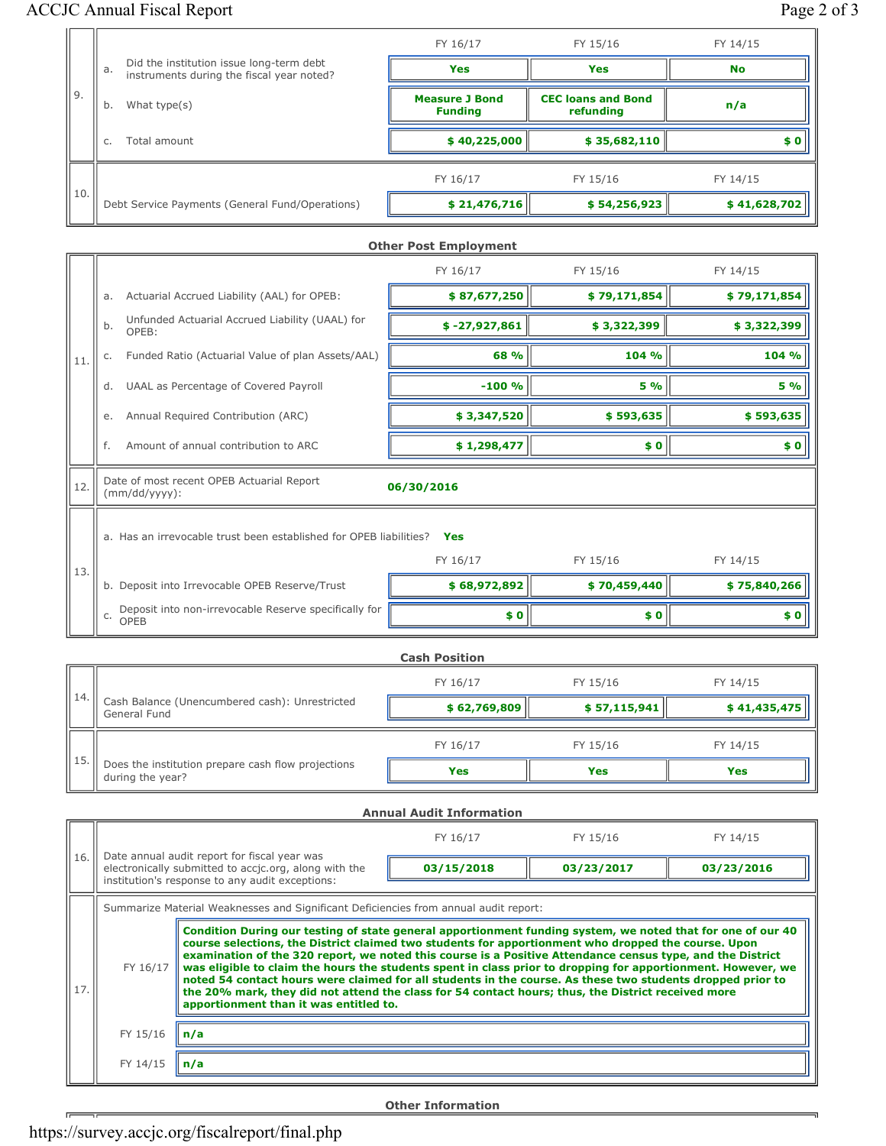# ACCJC Annual Fiscal Report Page 2 of 3

|       |                                                                                             | FY 16/17                                | FY 15/16                               | FY 14/15     |
|-------|---------------------------------------------------------------------------------------------|-----------------------------------------|----------------------------------------|--------------|
|       | Did the institution issue long-term debt<br>a.<br>instruments during the fiscal year noted? | <b>Yes</b>                              | Yes                                    | <b>No</b>    |
| 'l 9. | What type(s)<br>b.                                                                          | <b>Measure J Bond</b><br><b>Funding</b> | <b>CEC loans and Bond</b><br>refunding | n/a          |
|       | Total amount<br>C.                                                                          | \$40,225,000                            | \$35,682,110                           | \$0          |
|       |                                                                                             | FY 16/17                                | FY 15/16                               | FY 14/15     |
| 10.   | Debt Service Payments (General Fund/Operations)                                             | \$21,476,716                            | \$54,256,923                           | \$41,628,702 |

|     |                                                                             |                                                                    | <b>Other Post Employment</b> |              |              |
|-----|-----------------------------------------------------------------------------|--------------------------------------------------------------------|------------------------------|--------------|--------------|
|     |                                                                             |                                                                    | FY 16/17                     | FY 15/16     | FY 14/15     |
| 11. | Actuarial Accrued Liability (AAL) for OPEB:<br>a.                           |                                                                    | \$87,677,250                 | \$79,171,854 | \$79,171,854 |
|     | Unfunded Actuarial Accrued Liability (UAAL) for<br>b.<br>OPEB:              |                                                                    | $$ -27,927,861$              | \$3,322,399  | \$3,322,399  |
|     | C.                                                                          | Funded Ratio (Actuarial Value of plan Assets/AAL)                  | 68 %                         | 104 %        | 104 %        |
|     | d.                                                                          | UAAL as Percentage of Covered Payroll                              | $-100%$                      | <b>5 %</b>   | 5 %          |
|     | e.                                                                          | Annual Required Contribution (ARC)                                 | \$3,347,520                  | \$593,635    | \$593,635    |
|     | f.                                                                          | Amount of annual contribution to ARC                               | \$1,298,477                  | \$0          | \$0          |
| 12. | Date of most recent OPEB Actuarial Report<br>06/30/2016<br>$(mm/dd/yyyy)$ : |                                                                    |                              |              |              |
|     |                                                                             | a. Has an irrevocable trust been established for OPEB liabilities? | Yes                          |              |              |
| 13. |                                                                             |                                                                    | FY 16/17                     | FY 15/16     | FY 14/15     |
|     |                                                                             | b. Deposit into Irrevocable OPEB Reserve/Trust                     | \$68,972,892                 | \$70,459,440 | \$75,840,266 |
|     |                                                                             |                                                                    |                              |              |              |

|     | <b>Cash Position</b>                                                   |              |              |              |  |  |  |  |
|-----|------------------------------------------------------------------------|--------------|--------------|--------------|--|--|--|--|
|     |                                                                        | FY 16/17     | FY 15/16     | FY 14/15     |  |  |  |  |
| 14. | Cash Balance (Unencumbered cash): Unrestricted<br>General Fund         | \$62,769,809 | \$57,115,941 | \$41,435,475 |  |  |  |  |
|     |                                                                        | FY 16/17     | FY 15/16     | FY 14/15     |  |  |  |  |
| 15. | Does the institution prepare cash flow projections<br>during the year? | <b>Yes</b>   | Yes          | Yes          |  |  |  |  |

c. Deposit into non-irrevocable Reserve specifically for **consider the set of the set of the set of the set of s**<br>Consider the set of the set of the set of the set of the set of the set of the set of the set of the set of

|                                                                                      | <b>Annual Audit Information</b> |                                                                                                                                                                                                                                                                                                                                                                                                                                                                                                                                                                                                                                                                                                                |            |            |            |  |  |
|--------------------------------------------------------------------------------------|---------------------------------|----------------------------------------------------------------------------------------------------------------------------------------------------------------------------------------------------------------------------------------------------------------------------------------------------------------------------------------------------------------------------------------------------------------------------------------------------------------------------------------------------------------------------------------------------------------------------------------------------------------------------------------------------------------------------------------------------------------|------------|------------|------------|--|--|
|                                                                                      |                                 |                                                                                                                                                                                                                                                                                                                                                                                                                                                                                                                                                                                                                                                                                                                | FY 16/17   | FY 15/16   | FY 14/15   |  |  |
| 16.                                                                                  |                                 | Date annual audit report for fiscal year was<br>electronically submitted to accic.org, along with the<br>institution's response to any audit exceptions:                                                                                                                                                                                                                                                                                                                                                                                                                                                                                                                                                       | 03/15/2018 | 03/23/2017 | 03/23/2016 |  |  |
| Summarize Material Weaknesses and Significant Deficiencies from annual audit report: |                                 |                                                                                                                                                                                                                                                                                                                                                                                                                                                                                                                                                                                                                                                                                                                |            |            |            |  |  |
| 17.                                                                                  | FY 16/17                        | Condition During our testing of state general apportionment funding system, we noted that for one of our 40<br>course selections, the District claimed two students for apportionment who dropped the course. Upon<br>examination of the 320 report, we noted this course is a Positive Attendance census type, and the District<br>was eligible to claim the hours the students spent in class prior to dropping for apportionment. However, we<br>noted 54 contact hours were claimed for all students in the course. As these two students dropped prior to<br>the 20% mark, they did not attend the class for 54 contact hours; thus, the District received more<br>apportionment than it was entitled to. |            |            |            |  |  |
|                                                                                      | FY 15/16                        | n/a                                                                                                                                                                                                                                                                                                                                                                                                                                                                                                                                                                                                                                                                                                            |            |            |            |  |  |
|                                                                                      | FY 14/15                        | n/a                                                                                                                                                                                                                                                                                                                                                                                                                                                                                                                                                                                                                                                                                                            |            |            |            |  |  |
|                                                                                      |                                 |                                                                                                                                                                                                                                                                                                                                                                                                                                                                                                                                                                                                                                                                                                                |            |            |            |  |  |

Other Information

 $\overline{r}$